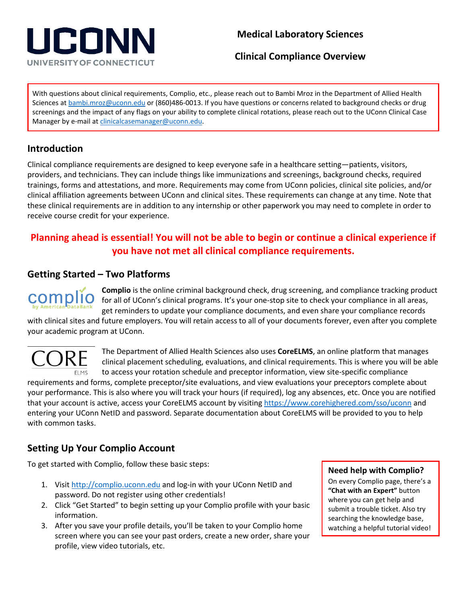# UCONN UNIVERSITY OF CONNECTICUT

## **Medical Laboratory Sciences**

**Clinical Compliance Overview**

With questions about clinical requirements, Complio, etc., please reach out to Bambi Mroz in the Department of Allied Health Sciences at **bambi.mroz@uconn.edu** or (860)486-0013. If you have questions or concerns related to background checks or drug screenings and the impact of any flags on your ability to complete clinical rotations, please reach out to the UConn Clinical Case Manager by e-mail a[t clinicalcasemanager@uconn.edu.](mailto:clinicalcasemanager@uconn.edu)

## **Introduction**

Clinical compliance requirements are designed to keep everyone safe in a healthcare setting—patients, visitors, providers, and technicians. They can include things like immunizations and screenings, background checks, required trainings, forms and attestations, and more. Requirements may come from UConn policies, clinical site policies, and/or clinical affiliation agreements between UConn and clinical sites. These requirements can change at any time. Note that these clinical requirements are in addition to any internship or other paperwork you may need to complete in order to receive course credit for your experience.

# **Planning ahead is essential! You will not be able to begin or continue a clinical experience if you have not met all clinical compliance requirements.**

## **Getting Started – Two Platforms**



**Complio** is the online criminal background check, drug screening, and compliance tracking product for all of UConn's clinical programs. It's your one-stop site to check your compliance in all areas, get reminders to update your compliance documents, and even share your compliance records

with clinical sites and future employers. You will retain access to all of your documents forever, even after you complete your academic program at UConn.



The Department of Allied Health Sciences also uses **CoreELMS**, an online platform that manages clinical placement scheduling, evaluations, and clinical requirements. This is where you will be able to access your rotation schedule and preceptor information, view site-specific compliance

requirements and forms, complete preceptor/site evaluations, and view evaluations your preceptors complete about your performance. This is also where you will track your hours (if required), log any absences, etc. Once you are notified that your account is active, access your CoreELMS account by visiting [https://www.corehighered.com/sso/uconn](https://nam01.safelinks.protection.outlook.com/?url=https%3A%2F%2Fwww.corehighered.com%2Fsso%2Fuconn&data=02%7C01%7Cbambi.mroz%40uconn.edu%7Ce0af28707db14a2e3a7108d74c09c967%7C17f1a87e2a254eaab9df9d439034b080%7C0%7C0%7C637061477225055747&sdata=H8ELn3k3x%2FK4Qa9t80zUBYkQBPBhfsi4Nqj6Pya%2F0FA%3D&reserved=0) and entering your UConn NetID and password. Separate documentation about CoreELMS will be provided to you to help with common tasks.

## **Setting Up Your Complio Account**

To get started with Complio, follow these basic steps:

- 1. Visit [http://complio.uconn.edu](http://complio.uconn.edu/) and log-in with your UConn NetID and password. Do not register using other credentials!
- 2. Click "Get Started" to begin setting up your Complio profile with your basic information.
- 3. After you save your profile details, you'll be taken to your Complio home screen where you can see your past orders, create a new order, share your profile, view video tutorials, etc.

#### **Need help with Complio?**

On every Complio page, there's a **"Chat with an Expert"** button where you can get help and submit a trouble ticket. Also try searching the knowledge base, watching a helpful tutorial video!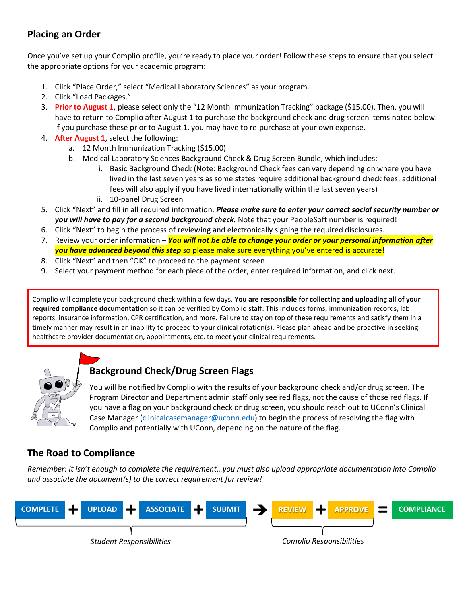## **Placing an Order**

Once you've set up your Complio profile, you're ready to place your order! Follow these steps to ensure that you select the appropriate options for your academic program:

- 1. Click "Place Order," select "Medical Laboratory Sciences" as your program.
- 2. Click "Load Packages."
- 3. **Prior to August 1**, please select only the "12 Month Immunization Tracking" package (\$15.00). Then, you will have to return to Complio after August 1 to purchase the background check and drug screen items noted below. If you purchase these prior to August 1, you may have to re-purchase at your own expense.
- 4. **After August 1**, select the following:
	- a. 12 Month Immunization Tracking (\$15.00)
	- b. Medical Laboratory Sciences Background Check & Drug Screen Bundle, which includes:
		- Basic Background Check (Note: Background Check fees can vary depending on where you have lived in the last seven years as some states require additional background check fees; additional fees will also apply if you have lived internationally within the last seven years)
		- ii. 10-panel Drug Screen
- 5. Click "Next" and fill in all required information. *Please make sure to enter your correct social security number or you will have to pay for a second background check.* Note that your PeopleSoft number is required!
- 6. Click "Next" to begin the process of reviewing and electronically signing the required disclosures.
- 7. Review your order information *You will not be able to change your order or your personal information after you have advanced beyond this step* so please make sure everything you've entered is accurate!
- 8. Click "Next" and then "OK" to proceed to the payment screen.
- 9. Select your payment method for each piece of the order, enter required information, and click next.

Complio will complete your background check within a few days. **You are responsible for collecting and uploading all of your required compliance documentation** so it can be verified by Complio staff. This includes forms, immunization records, lab reports, insurance information, CPR certification, and more. Failure to stay on top of these requirements and satisfy them in a timely manner may result in an inability to proceed to your clinical rotation(s). Please plan ahead and be proactive in seeking healthcare provider documentation, appointments, etc. to meet your clinical requirements.



# **Background Check/Drug Screen Flags**

You will be notified by Complio with the results of your background check and/or drug screen. The Program Director and Department admin staff only see red flags, not the cause of those red flags. If you have a flag on your background check or drug screen, you should reach out to UConn's Clinical Case Manager [\(clinicalcasemanager@uconn.edu\)](mailto:clinicalcasemanager@uconn.edu) to begin the process of resolving the flag with Complio and potentially with UConn, depending on the nature of the flag.

## **The Road to Compliance**

*Remember: It isn't enough to complete the requirement…you must also upload appropriate documentation into Complio and associate the document(s) to the correct requirement for review!*

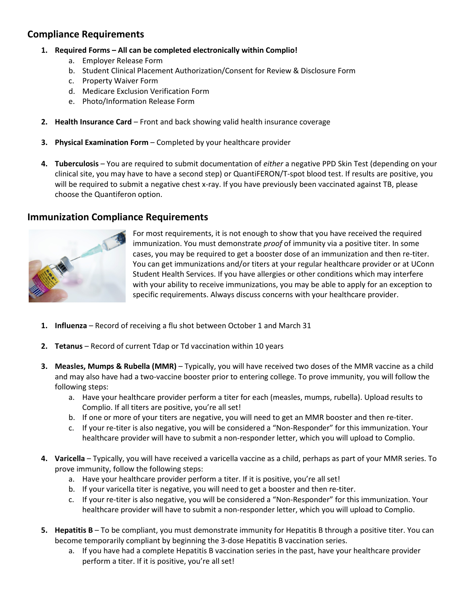### **Compliance Requirements**

- **1. Required Forms – All can be completed electronically within Complio!**
	- a. Employer Release Form
	- b. Student Clinical Placement Authorization/Consent for Review & Disclosure Form
	- c. Property Waiver Form
	- d. Medicare Exclusion Verification Form
	- e. Photo/Information Release Form
- **2. Health Insurance Card** Front and back showing valid health insurance coverage
- **3. Physical Examination Form** Completed by your healthcare provider
- **4. Tuberculosis** You are required to submit documentation of *either* a negative PPD Skin Test (depending on your clinical site, you may have to have a second step) or QuantiFERON/T-spot blood test. If results are positive, you will be required to submit a negative chest x-ray. If you have previously been vaccinated against TB, please choose the Quantiferon option.

#### **Immunization Compliance Requirements**



For most requirements, it is not enough to show that you have received the required immunization. You must demonstrate *proof* of immunity via a positive titer. In some cases, you may be required to get a booster dose of an immunization and then re-titer. You can get immunizations and/or titers at your regular healthcare provider or at UConn Student Health Services. If you have allergies or other conditions which may interfere with your ability to receive immunizations, you may be able to apply for an exception to specific requirements. Always discuss concerns with your healthcare provider.

- **1. Influenza** Record of receiving a flu shot between October 1 and March 31
- **2. Tetanus** Record of current Tdap or Td vaccination within 10 years
- **3. Measles, Mumps & Rubella (MMR)** Typically, you will have received two doses of the MMR vaccine as a child and may also have had a two-vaccine booster prior to entering college. To prove immunity, you will follow the following steps:
	- a. Have your healthcare provider perform a titer for each (measles, mumps, rubella). Upload results to Complio. If all titers are positive, you're all set!
	- b. If one or more of your titers are negative, you will need to get an MMR booster and then re-titer.
	- c. If your re-titer is also negative, you will be considered a "Non-Responder" for this immunization. Your healthcare provider will have to submit a non-responder letter, which you will upload to Complio.
- **4. Varicella** Typically, you will have received a varicella vaccine as a child, perhaps as part of your MMR series. To prove immunity, follow the following steps:
	- a. Have your healthcare provider perform a titer. If it is positive, you're all set!
	- b. If your varicella titer is negative, you will need to get a booster and then re-titer.
	- c. If your re-titer is also negative, you will be considered a "Non-Responder" for this immunization. Your healthcare provider will have to submit a non-responder letter, which you will upload to Complio.
- **5. Hepatitis B** To be compliant, you must demonstrate immunity for Hepatitis B through a positive titer. You can become temporarily compliant by beginning the 3-dose Hepatitis B vaccination series.
	- a. If you have had a complete Hepatitis B vaccination series in the past, have your healthcare provider perform a titer. If it is positive, you're all set!